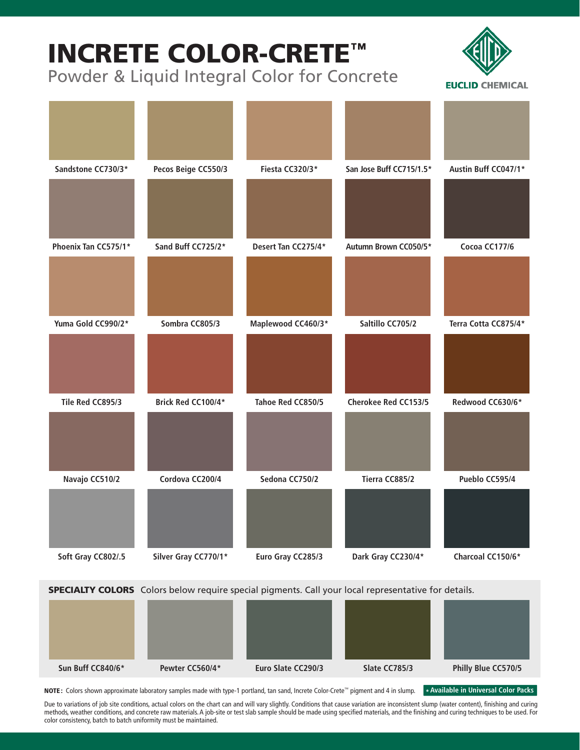# INCRETE COLOR-CRETE™

Powder & Liquid Integral Color for Concrete





**SPECIALTY COLORS** Colors below require special pigments. Call your local representative for details.

| Sun Buff CC840/6* | Pewter CC560/4* | Euro Slate CC290/3 | Slate CC785/3 | Philly Blue CC570/5 |
|-------------------|-----------------|--------------------|---------------|---------------------|

NOTE: Colors shown approximate laboratory samples made with type-1 portland, tan sand, Increte Color-Crete™ pigment and 4 in slump.

**\* Available in Universal Color Packs**

Due to variations of job site conditions, actual colors on the chart can and will vary slightly. Conditions that cause variation are inconsistent slump (water content), finishing and curing methods, weather conditions, and concrete raw materials. A job-site or test slab sample should be made using specified materials, and the finishing and curing techniques to be used. For color consistency, batch to batch uniformity must be maintained.